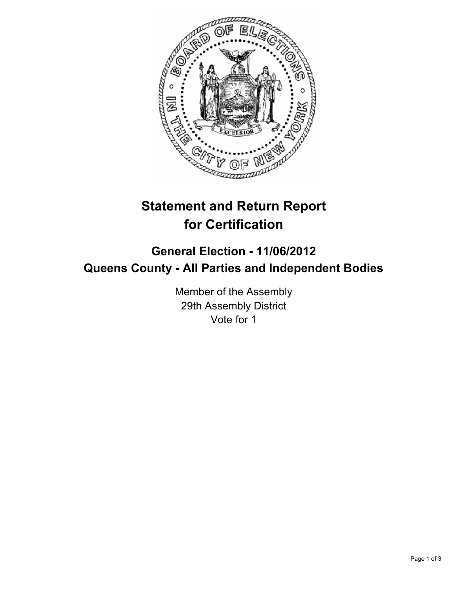

## **Statement and Return Report for Certification**

## **General Election - 11/06/2012 Queens County - All Parties and Independent Bodies**

Member of the Assembly 29th Assembly District Vote for 1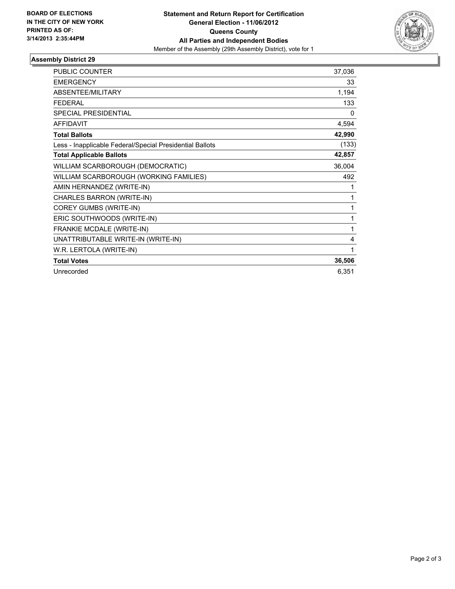

## **Assembly District 29**

| <b>PUBLIC COUNTER</b>                                    | 37,036 |
|----------------------------------------------------------|--------|
| <b>EMERGENCY</b>                                         | 33     |
| <b>ABSENTEE/MILITARY</b>                                 | 1,194  |
| <b>FEDERAL</b>                                           | 133    |
| <b>SPECIAL PRESIDENTIAL</b>                              | 0      |
| <b>AFFIDAVIT</b>                                         | 4,594  |
| <b>Total Ballots</b>                                     | 42,990 |
| Less - Inapplicable Federal/Special Presidential Ballots | (133)  |
| <b>Total Applicable Ballots</b>                          | 42,857 |
| WILLIAM SCARBOROUGH (DEMOCRATIC)                         | 36,004 |
| WILLIAM SCARBOROUGH (WORKING FAMILIES)                   | 492    |
| AMIN HERNANDEZ (WRITE-IN)                                | 1      |
| CHARLES BARRON (WRITE-IN)                                | 1      |
| COREY GUMBS (WRITE-IN)                                   | 1      |
| ERIC SOUTHWOODS (WRITE-IN)                               | 1      |
| FRANKIE MCDALE (WRITE-IN)                                | 1      |
| UNATTRIBUTABLE WRITE-IN (WRITE-IN)                       | 4      |
| W.R. LERTOLA (WRITE-IN)                                  | 1      |
| <b>Total Votes</b>                                       | 36,506 |
| Unrecorded                                               | 6,351  |